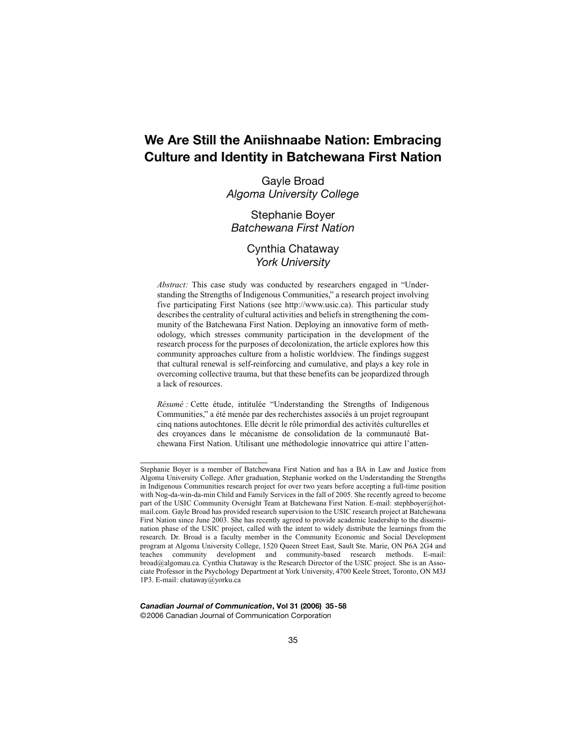# **We Are Still the Aniishnaabe Nation: Embracing Culture and Identity in Batchewana First Nation**

Gayle Broad *Algoma University College*

# Stephanie Boyer *Batchewana First Nation*

# Cynthia Chataway *York University*

*Abstract:* This case study was conducted by researchers engaged in "Understanding the Strengths of Indigenous Communities," a research project involving five participating First Nations (see http://www.usic.ca). This particular study describes the centrality of cultural activities and beliefs in strengthening the community of the Batchewana First Nation. Deploying an innovative form of methodology, which stresses community participation in the development of the research process for the purposes of decolonization, the article explores how this community approaches culture from a holistic worldview. The findings suggest that cultural renewal is self-reinforcing and cumulative, and plays a key role in overcoming collective trauma, but that these benefits can be jeopardized through a lack of resources.

*Résumé :* Cette étude, intitulée "Understanding the Strengths of Indigenous Communities," a été menée par des recherchistes associés à un projet regroupant cinq nations autochtones. Elle décrit le rôle primordial des activités culturelles et des croyances dans le mécanisme de consolidation de la communauté Batchewana First Nation. Utilisant une méthodologie innovatrice qui attire l'atten-

*Canadian Journal of Communication***, Vol 31 (2006) 35-58** ©2006 Canadian Journal of Communication Corporation

Stephanie Boyer is a member of Batchewana First Nation and has a BA in Law and Justice from Algoma University College. After graduation, Stephanie worked on the Understanding the Strengths in Indigenous Communities research project for over two years before accepting a full-time position with Nog-da-win-da-min Child and Family Services in the fall of 2005. She recently agreed to become part of the USIC Community Oversight Team at Batchewana First Nation. E-mail: stephboyer@hotmail.com. Gayle Broad has provided research supervision to the USIC research project at Batchewana First Nation since June 2003. She has recently agreed to provide academic leadership to the dissemination phase of the USIC project, called with the intent to widely distribute the learnings from the research. Dr. Broad is a faculty member in the Community Economic and Social Development program at Algoma University College, 1520 Queen Street East, Sault Ste. Marie, ON P6A 2G4 and teaches community development and community-based research methods. F-mail: community development and community-based research methods. E-mail: broad@algomau.ca. Cynthia Chataway is the Research Director of the USIC project. She is an Associate Professor in the Psychology Department at York University, 4700 Keele Street, Toronto, ON M3J 1P3. E-mail: chataway@yorku.ca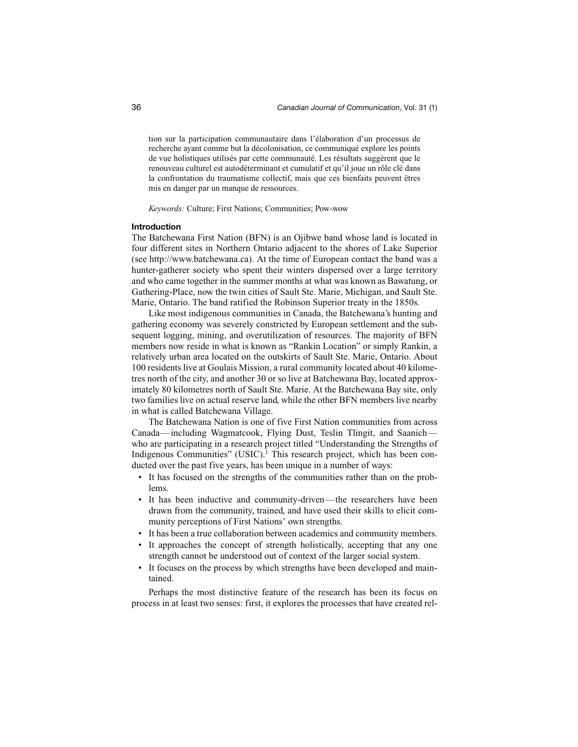tion sur la participation communautaire dans l'élaboration d'un processus de recherche ayant comme but la décolonisation, ce communiqué explore les points de vue holistiques utilisés par cette communauté. Les résultats suggèrent que le renouveau culturel est autodéterminant et cumulatif et qu'il joue un rôle clé dans la confrontation du traumatisme collectif, mais que ces bienfaits peuvent êtres mis en danger par un manque de ressources.

*Keywords:* Culture; First Nations; Communities; Pow-wow

### **Introduction**

The Batchewana First Nation (BFN) is an Ojibwe band whose land is located in four different sites in Northern Ontario adjacent to the shores of Lake Superior (see http://www.batchewana.ca). At the time of European contact the band was a hunter-gatherer society who spent their winters dispersed over a large territory and who came together in the summer months at what was known as Bawatung, or Gathering-Place, now the twin cities of Sault Ste. Marie, Michigan, and Sault Ste. Marie, Ontario. The band ratified the Robinson Superior treaty in the 1850s.

Like most indigenous communities in Canada, the Batchewana's hunting and gathering economy was severely constricted by European settlement and the subsequent logging, mining, and overutilization of resources. The majority of BFN members now reside in what is known as "Rankin Location" or simply Rankin, a relatively urban area located on the outskirts of Sault Ste. Marie, Ontario. About 100 residents live at Goulais Mission, a rural community located about 40 kilometres north of the city, and another 30 or so live at Batchewana Bay, located approximately 80 kilometres north of Sault Ste. Marie. At the Batchewana Bay site, only two families live on actual reserve land, while the other BFN members live nearby in what is called Batchewana Village.

The Batchewana Nation is one of five First Nation communities from across Canada—including Wagmatcook, Flying Dust, Teslin Tlingit, and Saanich who are participating in a research project titled "Understanding the Strengths of Indigenous Communities" (USIC).<sup>1</sup> This research project, which has been conducted over the past five years, has been unique in a number of ways:

- It has focused on the strengths of the communities rather than on the problems.
- It has been inductive and community-driven—the researchers have been drawn from the community, trained, and have used their skills to elicit community perceptions of First Nations' own strengths.
- It has been a true collaboration between academics and community members.
- It approaches the concept of strength holistically, accepting that any one strength cannot be understood out of context of the larger social system.
- It focuses on the process by which strengths have been developed and maintained.

Perhaps the most distinctive feature of the research has been its focus on process in at least two senses: first, it explores the processes that have created rel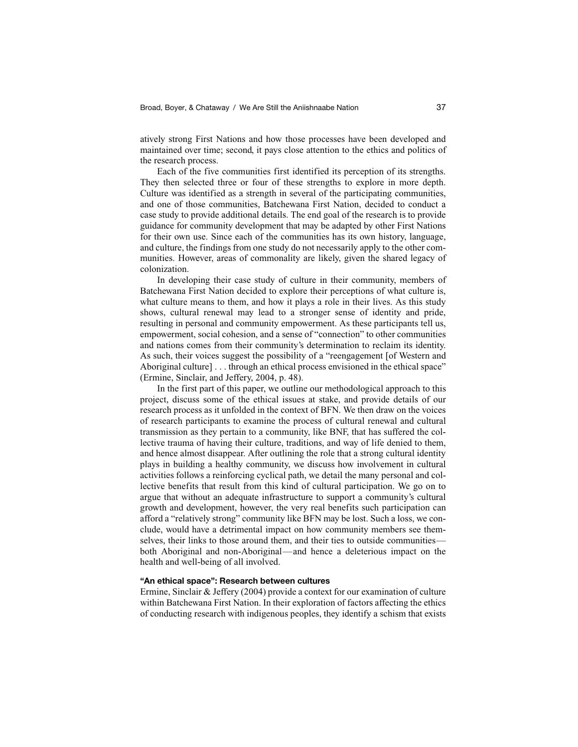atively strong First Nations and how those processes have been developed and maintained over time; second, it pays close attention to the ethics and politics of the research process.

Each of the five communities first identified its perception of its strengths. They then selected three or four of these strengths to explore in more depth. Culture was identified as a strength in several of the participating communities, and one of those communities, Batchewana First Nation, decided to conduct a case study to provide additional details. The end goal of the research is to provide guidance for community development that may be adapted by other First Nations for their own use. Since each of the communities has its own history, language, and culture, the findings from one study do not necessarily apply to the other communities. However, areas of commonality are likely, given the shared legacy of colonization.

In developing their case study of culture in their community, members of Batchewana First Nation decided to explore their perceptions of what culture is, what culture means to them, and how it plays a role in their lives. As this study shows, cultural renewal may lead to a stronger sense of identity and pride, resulting in personal and community empowerment. As these participants tell us, empowerment, social cohesion, and a sense of "connection" to other communities and nations comes from their community's determination to reclaim its identity. As such, their voices suggest the possibility of a "reengagement [of Western and Aboriginal culture] . . . through an ethical process envisioned in the ethical space" (Ermine, Sinclair, and Jeffery, 2004, p. 48).

In the first part of this paper, we outline our methodological approach to this project, discuss some of the ethical issues at stake, and provide details of our research process as it unfolded in the context of BFN. We then draw on the voices of research participants to examine the process of cultural renewal and cultural transmission as they pertain to a community, like BNF, that has suffered the collective trauma of having their culture, traditions, and way of life denied to them, and hence almost disappear. After outlining the role that a strong cultural identity plays in building a healthy community, we discuss how involvement in cultural activities follows a reinforcing cyclical path, we detail the many personal and collective benefits that result from this kind of cultural participation. We go on to argue that without an adequate infrastructure to support a community's cultural growth and development, however, the very real benefits such participation can afford a "relatively strong" community like BFN may be lost. Such a loss, we conclude, would have a detrimental impact on how community members see themselves, their links to those around them, and their ties to outside communities both Aboriginal and non-Aboriginal—and hence a deleterious impact on the health and well-being of all involved.

### **"An ethical space": Research between cultures**

Ermine, Sinclair & Jeffery (2004) provide a context for our examination of culture within Batchewana First Nation. In their exploration of factors affecting the ethics of conducting research with indigenous peoples, they identify a schism that exists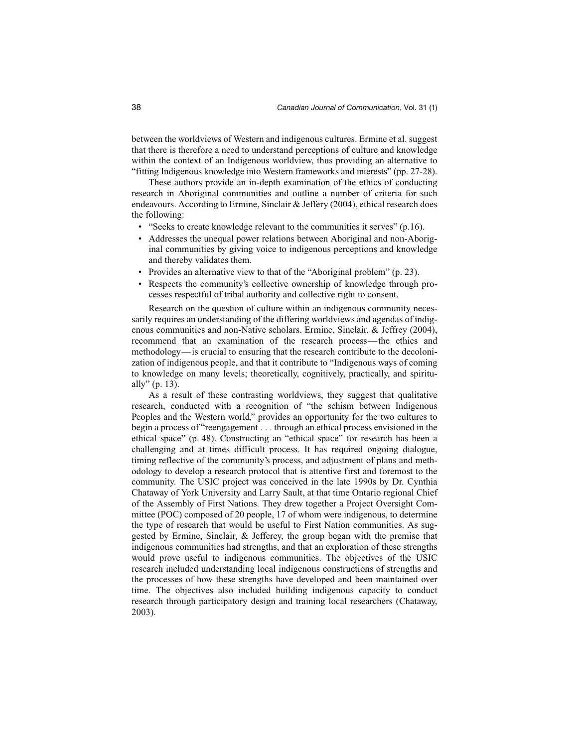between the worldviews of Western and indigenous cultures. Ermine et al. suggest that there is therefore a need to understand perceptions of culture and knowledge within the context of an Indigenous worldview, thus providing an alternative to "fitting Indigenous knowledge into Western frameworks and interests" (pp. 27-28).

These authors provide an in-depth examination of the ethics of conducting research in Aboriginal communities and outline a number of criteria for such endeavours. According to Ermine, Sinclair & Jeffery (2004), ethical research does the following:

- "Seeks to create knowledge relevant to the communities it serves" (p.16).
- Addresses the unequal power relations between Aboriginal and non-Aboriginal communities by giving voice to indigenous perceptions and knowledge and thereby validates them.
- Provides an alternative view to that of the "Aboriginal problem" (p. 23).
- Respects the community's collective ownership of knowledge through processes respectful of tribal authority and collective right to consent.

Research on the question of culture within an indigenous community necessarily requires an understanding of the differing worldviews and agendas of indigenous communities and non-Native scholars. Ermine, Sinclair, & Jeffrey (2004), recommend that an examination of the research process—the ethics and methodology—is crucial to ensuring that the research contribute to the decolonization of indigenous people, and that it contribute to "Indigenous ways of coming to knowledge on many levels; theoretically, cognitively, practically, and spiritually" (p. 13).

As a result of these contrasting worldviews, they suggest that qualitative research, conducted with a recognition of "the schism between Indigenous Peoples and the Western world," provides an opportunity for the two cultures to begin a process of "reengagement . . . through an ethical process envisioned in the ethical space" (p. 48). Constructing an "ethical space" for research has been a challenging and at times difficult process. It has required ongoing dialogue, timing reflective of the community's process, and adjustment of plans and methodology to develop a research protocol that is attentive first and foremost to the community. The USIC project was conceived in the late 1990s by Dr. Cynthia Chataway of York University and Larry Sault, at that time Ontario regional Chief of the Assembly of First Nations. They drew together a Project Oversight Committee (POC) composed of 20 people, 17 of whom were indigenous, to determine the type of research that would be useful to First Nation communities. As suggested by Ermine, Sinclair, & Jefferey, the group began with the premise that indigenous communities had strengths, and that an exploration of these strengths would prove useful to indigenous communities. The objectives of the USIC research included understanding local indigenous constructions of strengths and the processes of how these strengths have developed and been maintained over time. The objectives also included building indigenous capacity to conduct research through participatory design and training local researchers (Chataway, 2003).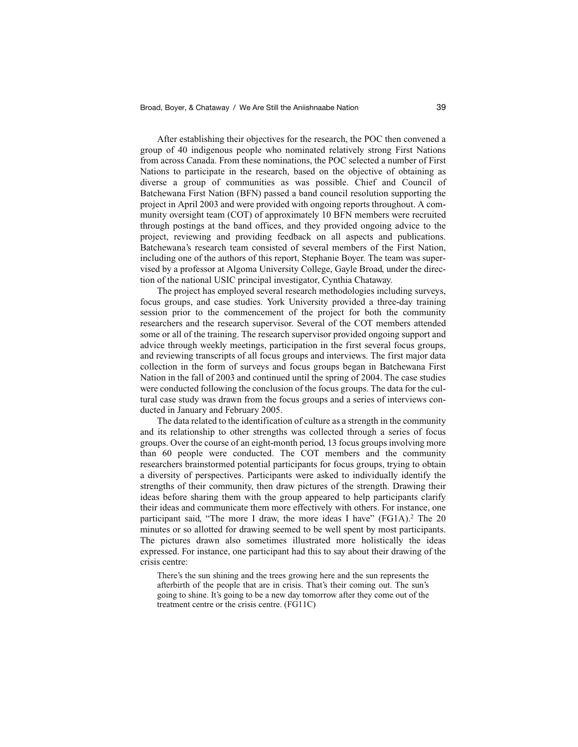After establishing their objectives for the research, the POC then convened a group of 40 indigenous people who nominated relatively strong First Nations from across Canada. From these nominations, the POC selected a number of First Nations to participate in the research, based on the objective of obtaining as diverse a group of communities as was possible. Chief and Council of Batchewana First Nation (BFN) passed a band council resolution supporting the project in April 2003 and were provided with ongoing reports throughout. A community oversight team (COT) of approximately 10 BFN members were recruited through postings at the band offices, and they provided ongoing advice to the project, reviewing and providing feedback on all aspects and publications. Batchewana's research team consisted of several members of the First Nation, including one of the authors of this report, Stephanie Boyer. The team was supervised by a professor at Algoma University College, Gayle Broad, under the direction of the national USIC principal investigator, Cynthia Chataway.

The project has employed several research methodologies including surveys, focus groups, and case studies. York University provided a three-day training session prior to the commencement of the project for both the community researchers and the research supervisor. Several of the COT members attended some or all of the training. The research supervisor provided ongoing support and advice through weekly meetings, participation in the first several focus groups, and reviewing transcripts of all focus groups and interviews. The first major data collection in the form of surveys and focus groups began in Batchewana First Nation in the fall of 2003 and continued until the spring of 2004. The case studies were conducted following the conclusion of the focus groups. The data for the cultural case study was drawn from the focus groups and a series of interviews conducted in January and February 2005.

The data related to the identification of culture as a strength in the community and its relationship to other strengths was collected through a series of focus groups. Over the course of an eight-month period, 13 focus groups involving more than 60 people were conducted. The COT members and the community researchers brainstormed potential participants for focus groups, trying to obtain a diversity of perspectives. Participants were asked to individually identify the strengths of their community, then draw pictures of the strength. Drawing their ideas before sharing them with the group appeared to help participants clarify their ideas and communicate them more effectively with others. For instance, one participant said, "The more I draw, the more ideas I have" (FG1A).<sup>2</sup> The 20 minutes or so allotted for drawing seemed to be well spent by most participants. The pictures drawn also sometimes illustrated more holistically the ideas expressed. For instance, one participant had this to say about their drawing of the crisis centre:

There's the sun shining and the trees growing here and the sun represents the afterbirth of the people that are in crisis. That's their coming out. The sun's going to shine. It's going to be a new day tomorrow after they come out of the treatment centre or the crisis centre. (FG11C)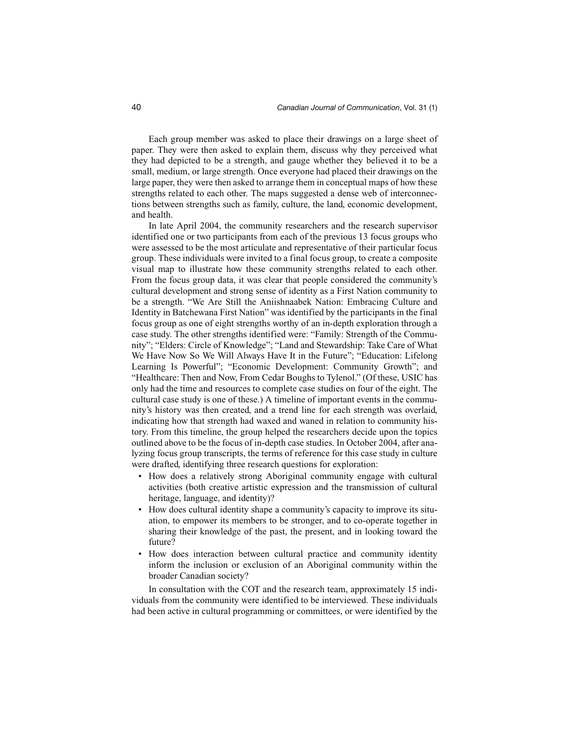Each group member was asked to place their drawings on a large sheet of paper. They were then asked to explain them, discuss why they perceived what they had depicted to be a strength, and gauge whether they believed it to be a small, medium, or large strength. Once everyone had placed their drawings on the large paper, they were then asked to arrange them in conceptual maps of how these strengths related to each other. The maps suggested a dense web of interconnections between strengths such as family, culture, the land, economic development, and health.

In late April 2004, the community researchers and the research supervisor identified one or two participants from each of the previous 13 focus groups who were assessed to be the most articulate and representative of their particular focus group. These individuals were invited to a final focus group, to create a composite visual map to illustrate how these community strengths related to each other. From the focus group data, it was clear that people considered the community's cultural development and strong sense of identity as a First Nation community to be a strength. "We Are Still the Aniishnaabek Nation: Embracing Culture and Identity in Batchewana First Nation" was identified by the participants in the final focus group as one of eight strengths worthy of an in-depth exploration through a case study. The other strengths identified were: "Family: Strength of the Community"; "Elders: Circle of Knowledge"; "Land and Stewardship: Take Care of What We Have Now So We Will Always Have It in the Future"; "Education: Lifelong Learning Is Powerful"; "Economic Development: Community Growth"; and "Healthcare: Then and Now, From Cedar Boughs to Tylenol." (Of these, USIC has only had the time and resources to complete case studies on four of the eight. The cultural case study is one of these.) A timeline of important events in the community's history was then created, and a trend line for each strength was overlaid, indicating how that strength had waxed and waned in relation to community history. From this timeline, the group helped the researchers decide upon the topics outlined above to be the focus of in-depth case studies. In October 2004, after analyzing focus group transcripts, the terms of reference for this case study in culture were drafted, identifying three research questions for exploration:

- How does a relatively strong Aboriginal community engage with cultural activities (both creative artistic expression and the transmission of cultural heritage, language, and identity)?
- How does cultural identity shape a community's capacity to improve its situation, to empower its members to be stronger, and to co-operate together in sharing their knowledge of the past, the present, and in looking toward the future?
- How does interaction between cultural practice and community identity inform the inclusion or exclusion of an Aboriginal community within the broader Canadian society?

In consultation with the COT and the research team, approximately 15 individuals from the community were identified to be interviewed. These individuals had been active in cultural programming or committees, or were identified by the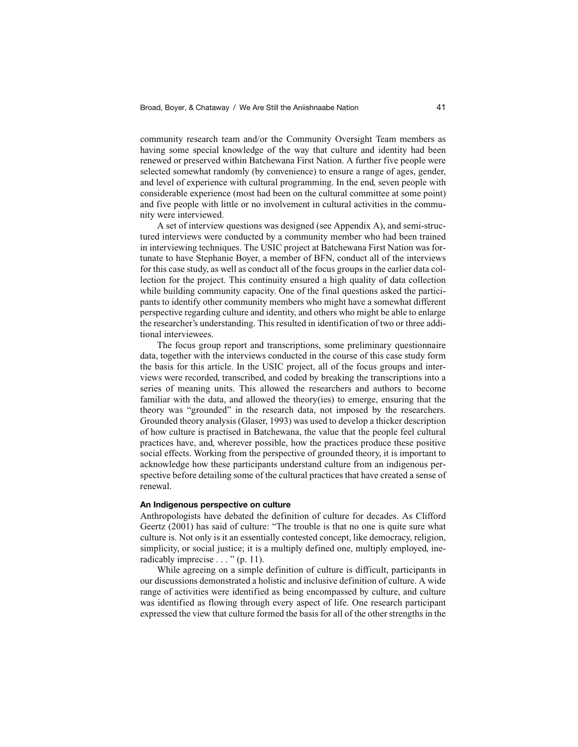community research team and/or the Community Oversight Team members as having some special knowledge of the way that culture and identity had been renewed or preserved within Batchewana First Nation. A further five people were selected somewhat randomly (by convenience) to ensure a range of ages, gender, and level of experience with cultural programming. In the end, seven people with considerable experience (most had been on the cultural committee at some point) and five people with little or no involvement in cultural activities in the community were interviewed.

A set of interview questions was designed (see Appendix A), and semi-structured interviews were conducted by a community member who had been trained in interviewing techniques. The USIC project at Batchewana First Nation was fortunate to have Stephanie Boyer, a member of BFN, conduct all of the interviews for this case study, as well as conduct all of the focus groups in the earlier data collection for the project. This continuity ensured a high quality of data collection while building community capacity. One of the final questions asked the participants to identify other community members who might have a somewhat different perspective regarding culture and identity, and others who might be able to enlarge the researcher's understanding. This resulted in identification of two or three additional interviewees.

The focus group report and transcriptions, some preliminary questionnaire data, together with the interviews conducted in the course of this case study form the basis for this article. In the USIC project, all of the focus groups and interviews were recorded, transcribed, and coded by breaking the transcriptions into a series of meaning units. This allowed the researchers and authors to become familiar with the data, and allowed the theory(ies) to emerge, ensuring that the theory was "grounded" in the research data, not imposed by the researchers. Grounded theory analysis (Glaser, 1993) was used to develop a thicker description of how culture is practised in Batchewana, the value that the people feel cultural practices have, and, wherever possible, how the practices produce these positive social effects. Working from the perspective of grounded theory, it is important to acknowledge how these participants understand culture from an indigenous perspective before detailing some of the cultural practices that have created a sense of renewal.

#### **An Indigenous perspective on culture**

Anthropologists have debated the definition of culture for decades. As Clifford Geertz (2001) has said of culture: "The trouble is that no one is quite sure what culture is. Not only is it an essentially contested concept, like democracy, religion, simplicity, or social justice; it is a multiply defined one, multiply employed, ineradicably imprecise . . . " (p. 11).

While agreeing on a simple definition of culture is difficult, participants in our discussions demonstrated a holistic and inclusive definition of culture. A wide range of activities were identified as being encompassed by culture, and culture was identified as flowing through every aspect of life. One research participant expressed the view that culture formed the basis for all of the other strengths in the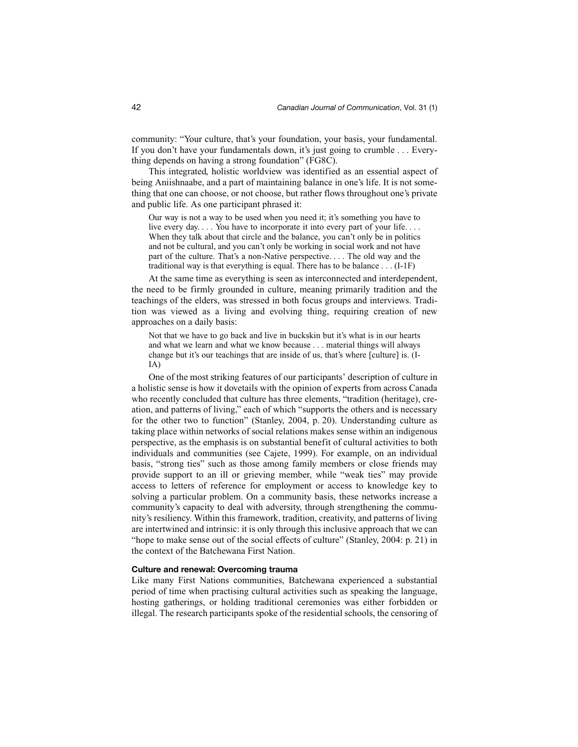community: "Your culture, that's your foundation, your basis, your fundamental. If you don't have your fundamentals down, it's just going to crumble . . . Everything depends on having a strong foundation" (FG8C).

This integrated, holistic worldview was identified as an essential aspect of being Aniishnaabe, and a part of maintaining balance in one's life. It is not something that one can choose, or not choose, but rather flows throughout one's private and public life. As one participant phrased it:

Our way is not a way to be used when you need it; it's something you have to live every day. . . . You have to incorporate it into every part of your life. . . . When they talk about that circle and the balance, you can't only be in politics and not be cultural, and you can't only be working in social work and not have part of the culture. That's a non-Native perspective. . . . The old way and the traditional way is that everything is equal. There has to be balance . . . (I-1F)

At the same time as everything is seen as interconnected and interdependent, the need to be firmly grounded in culture, meaning primarily tradition and the teachings of the elders, was stressed in both focus groups and interviews. Tradition was viewed as a living and evolving thing, requiring creation of new approaches on a daily basis:

Not that we have to go back and live in buckskin but it's what is in our hearts and what we learn and what we know because . . . material things will always change but it's our teachings that are inside of us, that's where [culture] is. (I-IA)

One of the most striking features of our participants' description of culture in a holistic sense is how it dovetails with the opinion of experts from across Canada who recently concluded that culture has three elements, "tradition (heritage), creation, and patterns of living," each of which "supports the others and is necessary for the other two to function" (Stanley, 2004, p. 20). Understanding culture as taking place within networks of social relations makes sense within an indigenous perspective, as the emphasis is on substantial benefit of cultural activities to both individuals and communities (see Cajete, 1999). For example, on an individual basis, "strong ties" such as those among family members or close friends may provide support to an ill or grieving member, while "weak ties" may provide access to letters of reference for employment or access to knowledge key to solving a particular problem. On a community basis, these networks increase a community's capacity to deal with adversity, through strengthening the community's resiliency. Within this framework, tradition, creativity, and patterns of living are intertwined and intrinsic: it is only through this inclusive approach that we can "hope to make sense out of the social effects of culture" (Stanley, 2004: p. 21) in the context of the Batchewana First Nation.

# **Culture and renewal: Overcoming trauma**

Like many First Nations communities, Batchewana experienced a substantial period of time when practising cultural activities such as speaking the language, hosting gatherings, or holding traditional ceremonies was either forbidden or illegal. The research participants spoke of the residential schools, the censoring of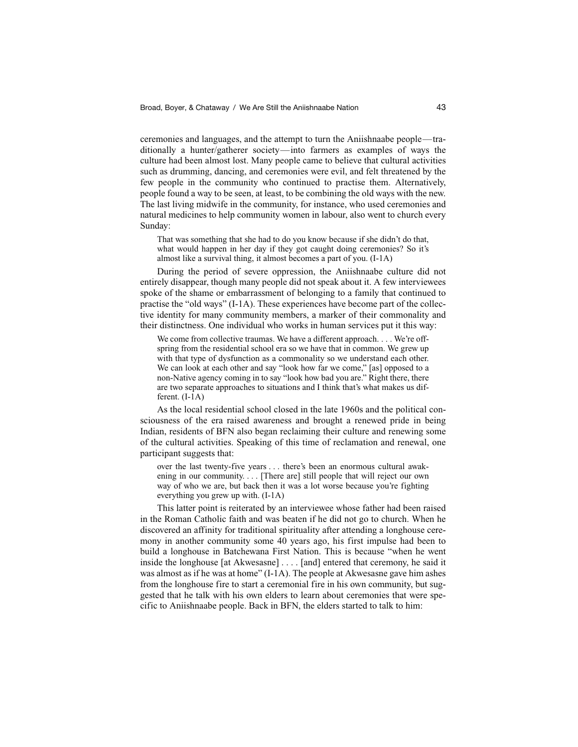ceremonies and languages, and the attempt to turn the Aniishnaabe people—traditionally a hunter/gatherer society—into farmers as examples of ways the culture had been almost lost. Many people came to believe that cultural activities such as drumming, dancing, and ceremonies were evil, and felt threatened by the few people in the community who continued to practise them. Alternatively, people found a way to be seen, at least, to be combining the old ways with the new. The last living midwife in the community, for instance, who used ceremonies and natural medicines to help community women in labour, also went to church every Sunday:

That was something that she had to do you know because if she didn't do that, what would happen in her day if they got caught doing ceremonies? So it's almost like a survival thing, it almost becomes a part of you. (I-1A)

During the period of severe oppression, the Aniishnaabe culture did not entirely disappear, though many people did not speak about it. A few interviewees spoke of the shame or embarrassment of belonging to a family that continued to practise the "old ways"  $(I - I A)$ . These experiences have become part of the collective identity for many community members, a marker of their commonality and their distinctness. One individual who works in human services put it this way:

We come from collective traumas. We have a different approach. . . . We're offspring from the residential school era so we have that in common. We grew up with that type of dysfunction as a commonality so we understand each other. We can look at each other and say "look how far we come," [as] opposed to a non-Native agency coming in to say "look how bad you are." Right there, there are two separate approaches to situations and I think that's what makes us different. (I-1A)

As the local residential school closed in the late 1960s and the political consciousness of the era raised awareness and brought a renewed pride in being Indian, residents of BFN also began reclaiming their culture and renewing some of the cultural activities. Speaking of this time of reclamation and renewal, one participant suggests that:

over the last twenty-five years . . . there's been an enormous cultural awakening in our community. . . . [There are] still people that will reject our own way of who we are, but back then it was a lot worse because you're fighting everything you grew up with. (I-1A)

This latter point is reiterated by an interviewee whose father had been raised in the Roman Catholic faith and was beaten if he did not go to church. When he discovered an affinity for traditional spirituality after attending a longhouse ceremony in another community some 40 years ago, his first impulse had been to build a longhouse in Batchewana First Nation. This is because "when he went inside the longhouse [at Akwesasne] . . . . [and] entered that ceremony, he said it was almost as if he was at home" (I-1A). The people at Akwesasne gave him ashes from the longhouse fire to start a ceremonial fire in his own community, but suggested that he talk with his own elders to learn about ceremonies that were specific to Aniishnaabe people. Back in BFN, the elders started to talk to him: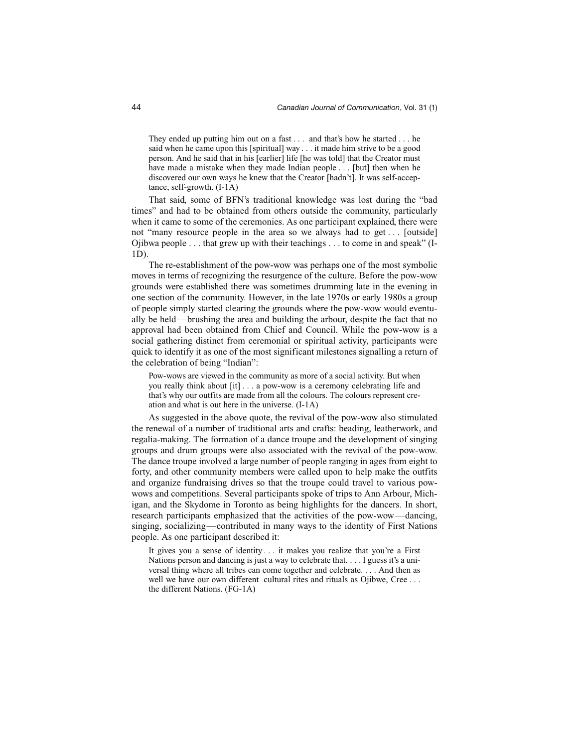They ended up putting him out on a fast . . . and that's how he started . . . he said when he came upon this [spiritual] way . . . it made him strive to be a good person. And he said that in his [earlier] life [he was told] that the Creator must have made a mistake when they made Indian people . . . [but] then when he discovered our own ways he knew that the Creator [hadn't]. It was self-acceptance, self-growth. (I-1A)

That said, some of BFN's traditional knowledge was lost during the "bad times" and had to be obtained from others outside the community, particularly when it came to some of the ceremonies. As one participant explained, there were not "many resource people in the area so we always had to get . . . [outside] Ojibwa people . . . that grew up with their teachings . . . to come in and speak" (I-1D).

The re-establishment of the pow-wow was perhaps one of the most symbolic moves in terms of recognizing the resurgence of the culture. Before the pow-wow grounds were established there was sometimes drumming late in the evening in one section of the community. However, in the late 1970s or early 1980s a group of people simply started clearing the grounds where the pow-wow would eventually be held—brushing the area and building the arbour, despite the fact that no approval had been obtained from Chief and Council. While the pow-wow is a social gathering distinct from ceremonial or spiritual activity, participants were quick to identify it as one of the most significant milestones signalling a return of the celebration of being "Indian":

Pow-wows are viewed in the community as more of a social activity. But when you really think about [it] . . . a pow-wow is a ceremony celebrating life and that's why our outfits are made from all the colours. The colours represent creation and what is out here in the universe. (I-1A)

As suggested in the above quote, the revival of the pow-wow also stimulated the renewal of a number of traditional arts and crafts: beading, leatherwork, and regalia-making. The formation of a dance troupe and the development of singing groups and drum groups were also associated with the revival of the pow-wow. The dance troupe involved a large number of people ranging in ages from eight to forty, and other community members were called upon to help make the outfits and organize fundraising drives so that the troupe could travel to various powwows and competitions. Several participants spoke of trips to Ann Arbour, Michigan, and the Skydome in Toronto as being highlights for the dancers. In short, research participants emphasized that the activities of the pow-wow—dancing, singing, socializing—contributed in many ways to the identity of First Nations people. As one participant described it:

It gives you a sense of identity  $\ldots$  it makes you realize that you're a First Nations person and dancing is just a way to celebrate that. . . . I guess it's a universal thing where all tribes can come together and celebrate. . . . And then as well we have our own different cultural rites and rituals as Ojibwe, Cree ... the different Nations. (FG-1A)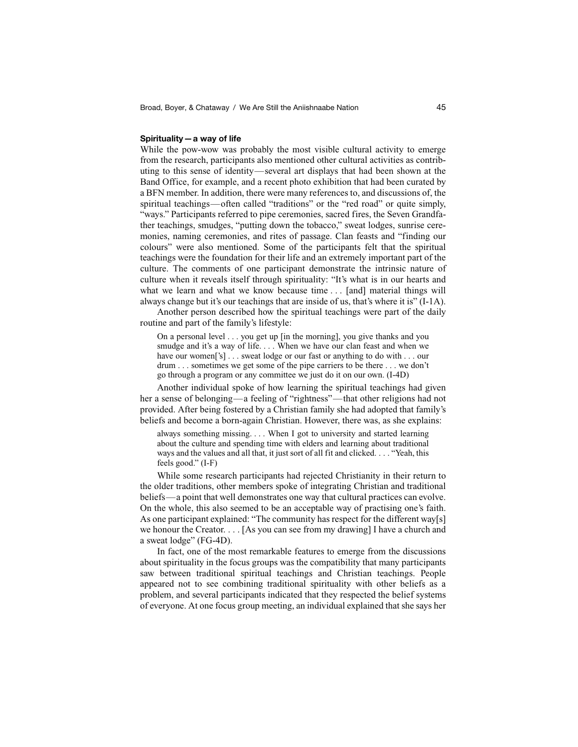### **Spirituality—a way of life**

While the pow-wow was probably the most visible cultural activity to emerge from the research, participants also mentioned other cultural activities as contributing to this sense of identity—several art displays that had been shown at the Band Office, for example, and a recent photo exhibition that had been curated by a BFN member. In addition, there were many references to, and discussions of, the spiritual teachings—often called "traditions" or the "red road" or quite simply, "ways." Participants referred to pipe ceremonies, sacred fires, the Seven Grandfather teachings, smudges, "putting down the tobacco," sweat lodges, sunrise ceremonies, naming ceremonies, and rites of passage. Clan feasts and "finding our colours" were also mentioned. Some of the participants felt that the spiritual teachings were the foundation for their life and an extremely important part of the culture. The comments of one participant demonstrate the intrinsic nature of culture when it reveals itself through spirituality: "It's what is in our hearts and what we learn and what we know because time . . . [and] material things will always change but it's our teachings that are inside of us, that's where it is"  $(I - 1A)$ .

Another person described how the spiritual teachings were part of the daily routine and part of the family's lifestyle:

On a personal level . . . you get up [in the morning], you give thanks and you smudge and it's a way of life. . . . When we have our clan feast and when we have our women<sup>['s]</sup> . . . sweat lodge or our fast or anything to do with . . . our drum . . . sometimes we get some of the pipe carriers to be there . . . we don't go through a program or any committee we just do it on our own. (I-4D)

Another individual spoke of how learning the spiritual teachings had given her a sense of belonging—a feeling of "rightness"—that other religions had not provided. After being fostered by a Christian family she had adopted that family's beliefs and become a born-again Christian. However, there was, as she explains:

always something missing. . . . When I got to university and started learning about the culture and spending time with elders and learning about traditional ways and the values and all that, it just sort of all fit and clicked. . . . "Yeah, this feels good." (I-F)

While some research participants had rejected Christianity in their return to the older traditions, other members spoke of integrating Christian and traditional beliefs—a point that well demonstrates one way that cultural practices can evolve. On the whole, this also seemed to be an acceptable way of practising one's faith. As one participant explained: "The community has respect for the different way[s] we honour the Creator. . . . [As you can see from my drawing] I have a church and a sweat lodge" (FG-4D).

In fact, one of the most remarkable features to emerge from the discussions about spirituality in the focus groups was the compatibility that many participants saw between traditional spiritual teachings and Christian teachings. People appeared not to see combining traditional spirituality with other beliefs as a problem, and several participants indicated that they respected the belief systems of everyone. At one focus group meeting, an individual explained that she says her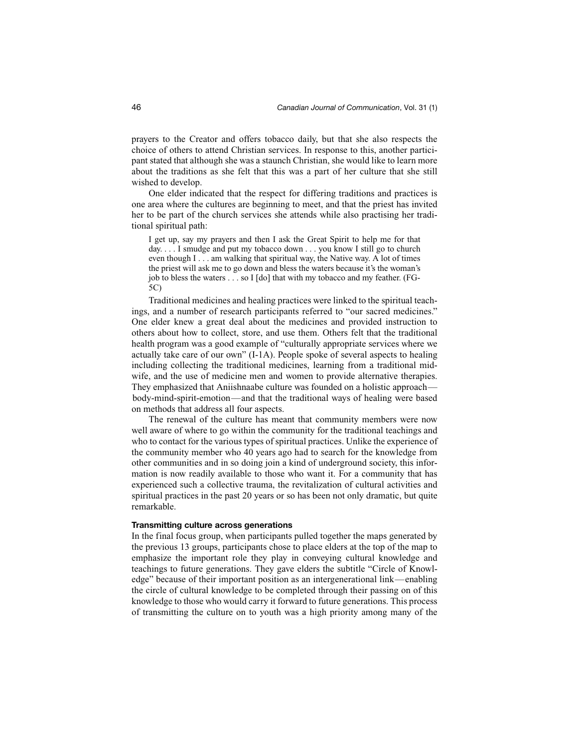prayers to the Creator and offers tobacco daily, but that she also respects the choice of others to attend Christian services. In response to this, another participant stated that although she was a staunch Christian, she would like to learn more about the traditions as she felt that this was a part of her culture that she still wished to develop.

One elder indicated that the respect for differing traditions and practices is one area where the cultures are beginning to meet, and that the priest has invited her to be part of the church services she attends while also practising her traditional spiritual path:

I get up, say my prayers and then I ask the Great Spirit to help me for that day. . . . I smudge and put my tobacco down . . . you know I still go to church even though I . . . am walking that spiritual way, the Native way. A lot of times the priest will ask me to go down and bless the waters because it's the woman's job to bless the waters . . . so I [do] that with my tobacco and my feather. (FG-5C)

Traditional medicines and healing practices were linked to the spiritual teachings, and a number of research participants referred to "our sacred medicines." One elder knew a great deal about the medicines and provided instruction to others about how to collect, store, and use them. Others felt that the traditional health program was a good example of "culturally appropriate services where we actually take care of our own" (I-1A). People spoke of several aspects to healing including collecting the traditional medicines, learning from a traditional midwife, and the use of medicine men and women to provide alternative therapies. They emphasized that Aniishnaabe culture was founded on a holistic approach body-mind-spirit-emotion—and that the traditional ways of healing were based on methods that address all four aspects.

The renewal of the culture has meant that community members were now well aware of where to go within the community for the traditional teachings and who to contact for the various types of spiritual practices. Unlike the experience of the community member who 40 years ago had to search for the knowledge from other communities and in so doing join a kind of underground society, this information is now readily available to those who want it. For a community that has experienced such a collective trauma, the revitalization of cultural activities and spiritual practices in the past 20 years or so has been not only dramatic, but quite remarkable.

#### **Transmitting culture across generations**

In the final focus group, when participants pulled together the maps generated by the previous 13 groups, participants chose to place elders at the top of the map to emphasize the important role they play in conveying cultural knowledge and teachings to future generations. They gave elders the subtitle "Circle of Knowledge" because of their important position as an intergenerational link—enabling the circle of cultural knowledge to be completed through their passing on of this knowledge to those who would carry it forward to future generations. This process of transmitting the culture on to youth was a high priority among many of the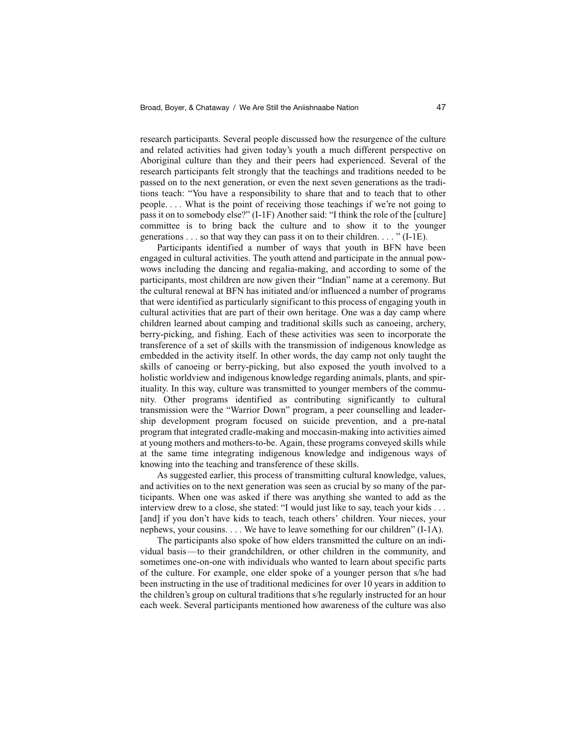research participants. Several people discussed how the resurgence of the culture and related activities had given today's youth a much different perspective on Aboriginal culture than they and their peers had experienced. Several of the research participants felt strongly that the teachings and traditions needed to be passed on to the next generation, or even the next seven generations as the traditions teach: "You have a responsibility to share that and to teach that to other people. . . . What is the point of receiving those teachings if we're not going to pass it on to somebody else?" (I-1F) Another said: "I think the role of the [culture] committee is to bring back the culture and to show it to the younger generations  $\dots$  so that way they can pass it on to their children.  $\dots$  " (I-1E).

Participants identified a number of ways that youth in BFN have been engaged in cultural activities. The youth attend and participate in the annual powwows including the dancing and regalia-making, and according to some of the participants, most children are now given their "Indian" name at a ceremony. But the cultural renewal at BFN has initiated and/or influenced a number of programs that were identified as particularly significant to this process of engaging youth in cultural activities that are part of their own heritage. One was a day camp where children learned about camping and traditional skills such as canoeing, archery, berry-picking, and fishing. Each of these activities was seen to incorporate the transference of a set of skills with the transmission of indigenous knowledge as embedded in the activity itself. In other words, the day camp not only taught the skills of canoeing or berry-picking, but also exposed the youth involved to a holistic worldview and indigenous knowledge regarding animals, plants, and spirituality. In this way, culture was transmitted to younger members of the community. Other programs identified as contributing significantly to cultural transmission were the "Warrior Down" program, a peer counselling and leadership development program focused on suicide prevention, and a pre-natal program that integrated cradle-making and moccasin-making into activities aimed at young mothers and mothers-to-be. Again, these programs conveyed skills while at the same time integrating indigenous knowledge and indigenous ways of knowing into the teaching and transference of these skills.

As suggested earlier, this process of transmitting cultural knowledge, values, and activities on to the next generation was seen as crucial by so many of the participants. When one was asked if there was anything she wanted to add as the interview drew to a close, she stated: "I would just like to say, teach your kids . . . [and] if you don't have kids to teach, teach others' children. Your nieces, your nephews, your cousins. . . . We have to leave something for our children" (I-1A).

The participants also spoke of how elders transmitted the culture on an individual basis—to their grandchildren, or other children in the community, and sometimes one-on-one with individuals who wanted to learn about specific parts of the culture. For example, one elder spoke of a younger person that s/he had been instructing in the use of traditional medicines for over 10 years in addition to the children's group on cultural traditions that s/he regularly instructed for an hour each week. Several participants mentioned how awareness of the culture was also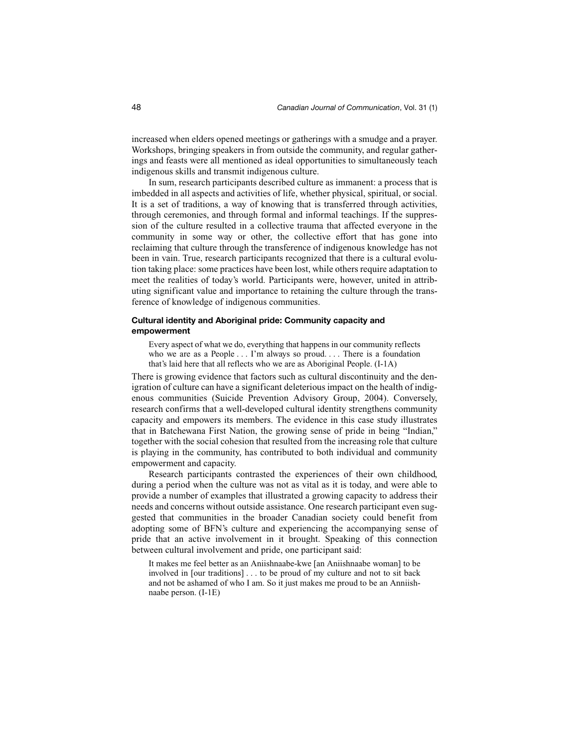increased when elders opened meetings or gatherings with a smudge and a prayer. Workshops, bringing speakers in from outside the community, and regular gatherings and feasts were all mentioned as ideal opportunities to simultaneously teach indigenous skills and transmit indigenous culture.

In sum, research participants described culture as immanent: a process that is imbedded in all aspects and activities of life, whether physical, spiritual, or social. It is a set of traditions, a way of knowing that is transferred through activities, through ceremonies, and through formal and informal teachings. If the suppression of the culture resulted in a collective trauma that affected everyone in the community in some way or other, the collective effort that has gone into reclaiming that culture through the transference of indigenous knowledge has not been in vain. True, research participants recognized that there is a cultural evolution taking place: some practices have been lost, while others require adaptation to meet the realities of today's world. Participants were, however, united in attributing significant value and importance to retaining the culture through the transference of knowledge of indigenous communities.

## **Cultural identity and Aboriginal pride: Community capacity and empowerment**

Every aspect of what we do, everything that happens in our community reflects who we are as a People . . . I'm always so proud. . . . There is a foundation that's laid here that all reflects who we are as Aboriginal People. (I-1A)

There is growing evidence that factors such as cultural discontinuity and the denigration of culture can have a significant deleterious impact on the health of indigenous communities (Suicide Prevention Advisory Group, 2004). Conversely, research confirms that a well-developed cultural identity strengthens community capacity and empowers its members. The evidence in this case study illustrates that in Batchewana First Nation, the growing sense of pride in being "Indian," together with the social cohesion that resulted from the increasing role that culture is playing in the community, has contributed to both individual and community empowerment and capacity.

Research participants contrasted the experiences of their own childhood, during a period when the culture was not as vital as it is today, and were able to provide a number of examples that illustrated a growing capacity to address their needs and concerns without outside assistance. One research participant even suggested that communities in the broader Canadian society could benefit from adopting some of BFN's culture and experiencing the accompanying sense of pride that an active involvement in it brought. Speaking of this connection between cultural involvement and pride, one participant said:

It makes me feel better as an Aniishnaabe-kwe [an Aniishnaabe woman] to be involved in [our traditions] . . . to be proud of my culture and not to sit back and not be ashamed of who I am. So it just makes me proud to be an Anniishnaabe person. (I-1E)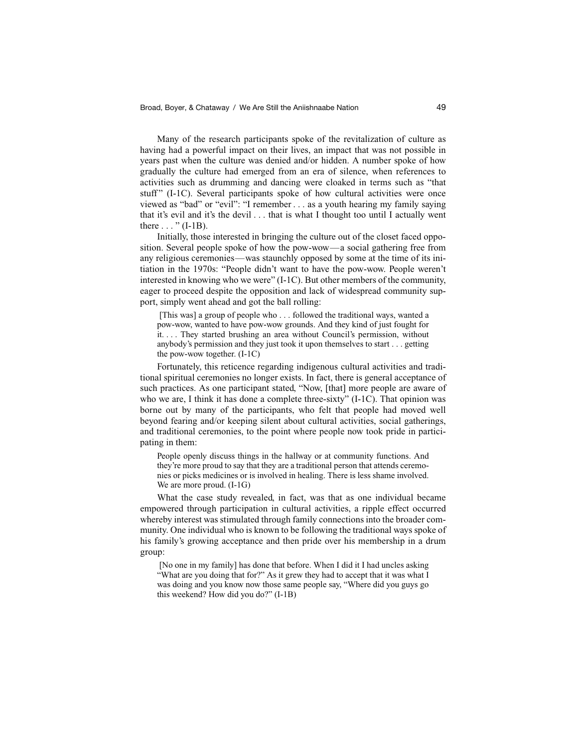Many of the research participants spoke of the revitalization of culture as having had a powerful impact on their lives, an impact that was not possible in years past when the culture was denied and/or hidden. A number spoke of how gradually the culture had emerged from an era of silence, when references to activities such as drumming and dancing were cloaked in terms such as "that stuff" (I-1C). Several participants spoke of how cultural activities were once viewed as "bad" or "evil": "I remember . . . as a youth hearing my family saying that it's evil and it's the devil . . . that is what I thought too until I actually went there  $\dots$  " (I-1B).

Initially, those interested in bringing the culture out of the closet faced opposition. Several people spoke of how the pow-wow—a social gathering free from any religious ceremonies—was staunchly opposed by some at the time of its initiation in the 1970s: "People didn't want to have the pow-wow. People weren't interested in knowing who we were" (I-1C). But other members of the community, eager to proceed despite the opposition and lack of widespread community support, simply went ahead and got the ball rolling:

[This was] a group of people who . . . followed the traditional ways, wanted a pow-wow, wanted to have pow-wow grounds. And they kind of just fought for it. . . . They started brushing an area without Council's permission, without anybody's permission and they just took it upon themselves to start . . . getting the pow-wow together. (I-1C)

Fortunately, this reticence regarding indigenous cultural activities and traditional spiritual ceremonies no longer exists. In fact, there is general acceptance of such practices. As one participant stated, "Now, [that] more people are aware of who we are, I think it has done a complete three-sixty" (I-1C). That opinion was borne out by many of the participants, who felt that people had moved well beyond fearing and/or keeping silent about cultural activities, social gatherings, and traditional ceremonies, to the point where people now took pride in participating in them:

People openly discuss things in the hallway or at community functions. And they're more proud to say that they are a traditional person that attends ceremonies or picks medicines or is involved in healing. There is less shame involved. We are more proud.  $(I-1G)$ 

What the case study revealed, in fact, was that as one individual became empowered through participation in cultural activities, a ripple effect occurred whereby interest was stimulated through family connections into the broader community. One individual who is known to be following the traditional ways spoke of his family's growing acceptance and then pride over his membership in a drum group:

 [No one in my family] has done that before. When I did it I had uncles asking "What are you doing that for?" As it grew they had to accept that it was what I was doing and you know now those same people say, "Where did you guys go this weekend? How did you do?" (I-1B)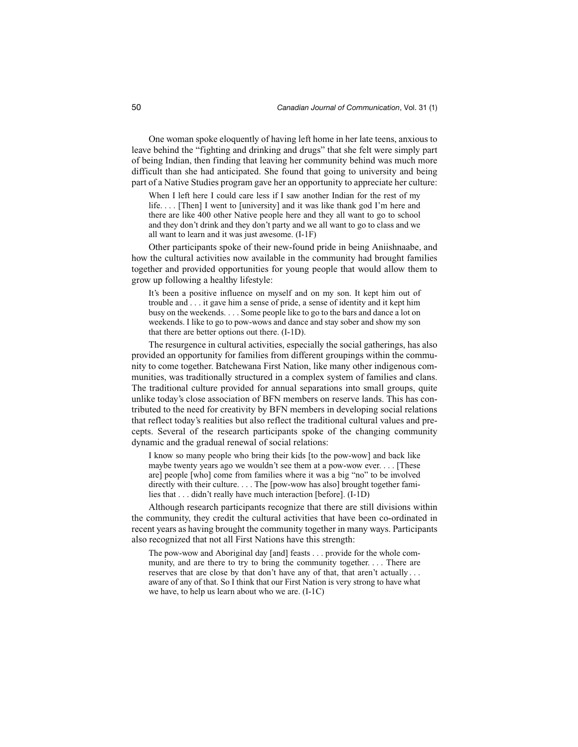One woman spoke eloquently of having left home in her late teens, anxious to leave behind the "fighting and drinking and drugs" that she felt were simply part of being Indian, then finding that leaving her community behind was much more difficult than she had anticipated. She found that going to university and being part of a Native Studies program gave her an opportunity to appreciate her culture:

When I left here I could care less if I saw another Indian for the rest of my life. . . . [Then] I went to [university] and it was like thank god I'm here and there are like 400 other Native people here and they all want to go to school and they don't drink and they don't party and we all want to go to class and we all want to learn and it was just awesome. (I-1F)

Other participants spoke of their new-found pride in being Aniishnaabe, and how the cultural activities now available in the community had brought families together and provided opportunities for young people that would allow them to grow up following a healthy lifestyle:

It's been a positive influence on myself and on my son. It kept him out of trouble and . . . it gave him a sense of pride, a sense of identity and it kept him busy on the weekends. . . . Some people like to go to the bars and dance a lot on weekends. I like to go to pow-wows and dance and stay sober and show my son that there are better options out there. (I-1D).

The resurgence in cultural activities, especially the social gatherings, has also provided an opportunity for families from different groupings within the community to come together. Batchewana First Nation, like many other indigenous communities, was traditionally structured in a complex system of families and clans. The traditional culture provided for annual separations into small groups, quite unlike today's close association of BFN members on reserve lands. This has contributed to the need for creativity by BFN members in developing social relations that reflect today's realities but also reflect the traditional cultural values and precepts. Several of the research participants spoke of the changing community dynamic and the gradual renewal of social relations:

I know so many people who bring their kids [to the pow-wow] and back like maybe twenty years ago we wouldn't see them at a pow-wow ever. . . . [These are] people [who] come from families where it was a big "no" to be involved directly with their culture. . . . The [pow-wow has also] brought together families that . . . didn't really have much interaction [before]. (I-1D)

Although research participants recognize that there are still divisions within the community, they credit the cultural activities that have been co-ordinated in recent years as having brought the community together in many ways. Participants also recognized that not all First Nations have this strength:

The pow-wow and Aboriginal day [and] feasts . . . provide for the whole community, and are there to try to bring the community together. . . . There are reserves that are close by that don't have any of that, that aren't actually . . . aware of any of that. So I think that our First Nation is very strong to have what we have, to help us learn about who we are. (I-1C)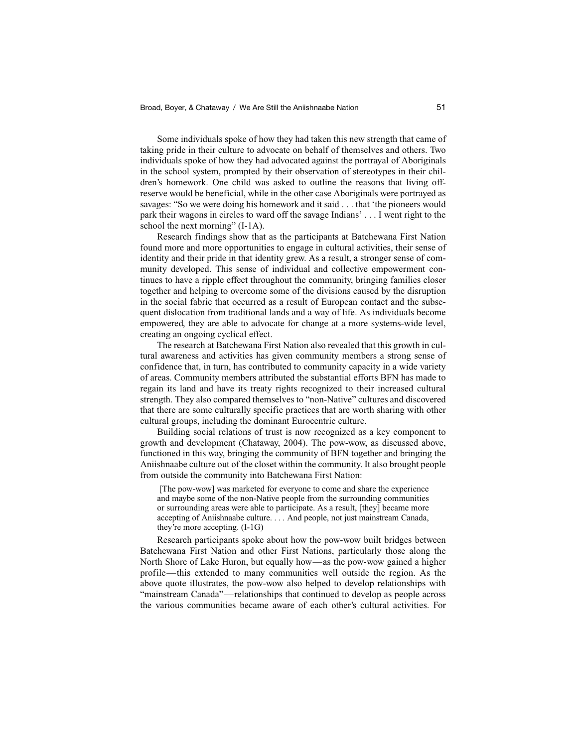Some individuals spoke of how they had taken this new strength that came of taking pride in their culture to advocate on behalf of themselves and others. Two individuals spoke of how they had advocated against the portrayal of Aboriginals in the school system, prompted by their observation of stereotypes in their children's homework. One child was asked to outline the reasons that living offreserve would be beneficial, while in the other case Aboriginals were portrayed as savages: "So we were doing his homework and it said . . . that 'the pioneers would park their wagons in circles to ward off the savage Indians' . . . I went right to the school the next morning" (I-1A).

Research findings show that as the participants at Batchewana First Nation found more and more opportunities to engage in cultural activities, their sense of identity and their pride in that identity grew. As a result, a stronger sense of community developed. This sense of individual and collective empowerment continues to have a ripple effect throughout the community, bringing families closer together and helping to overcome some of the divisions caused by the disruption in the social fabric that occurred as a result of European contact and the subsequent dislocation from traditional lands and a way of life. As individuals become empowered, they are able to advocate for change at a more systems-wide level, creating an ongoing cyclical effect.

The research at Batchewana First Nation also revealed that this growth in cultural awareness and activities has given community members a strong sense of confidence that, in turn, has contributed to community capacity in a wide variety of areas. Community members attributed the substantial efforts BFN has made to regain its land and have its treaty rights recognized to their increased cultural strength. They also compared themselves to "non-Native" cultures and discovered that there are some culturally specific practices that are worth sharing with other cultural groups, including the dominant Eurocentric culture.

Building social relations of trust is now recognized as a key component to growth and development (Chataway, 2004). The pow-wow, as discussed above, functioned in this way, bringing the community of BFN together and bringing the Aniishnaabe culture out of the closet within the community. It also brought people from outside the community into Batchewana First Nation:

 [The pow-wow] was marketed for everyone to come and share the experience and maybe some of the non-Native people from the surrounding communities or surrounding areas were able to participate. As a result, [they] became more accepting of Aniishnaabe culture. . . . And people, not just mainstream Canada, they're more accepting. (I-1G)

Research participants spoke about how the pow-wow built bridges between Batchewana First Nation and other First Nations, particularly those along the North Shore of Lake Huron, but equally how—as the pow-wow gained a higher profile—this extended to many communities well outside the region. As the above quote illustrates, the pow-wow also helped to develop relationships with "mainstream Canada"—relationships that continued to develop as people across the various communities became aware of each other's cultural activities. For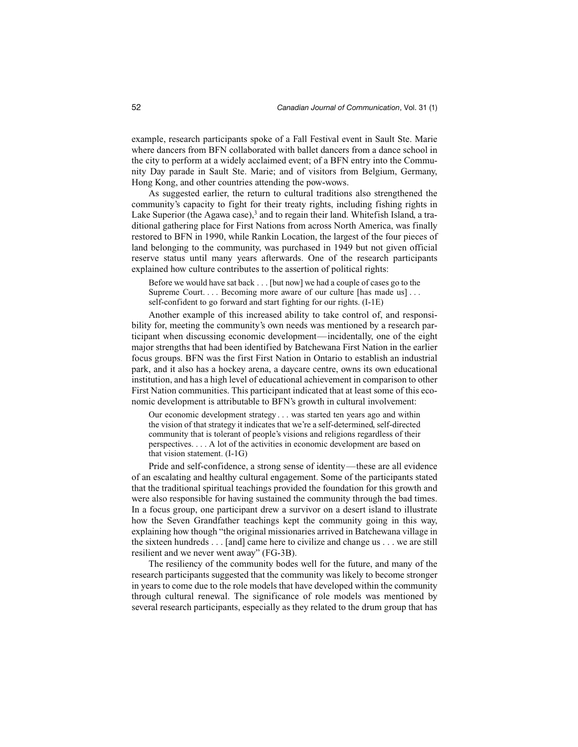example, research participants spoke of a Fall Festival event in Sault Ste. Marie where dancers from BFN collaborated with ballet dancers from a dance school in the city to perform at a widely acclaimed event; of a BFN entry into the Community Day parade in Sault Ste. Marie; and of visitors from Belgium, Germany, Hong Kong, and other countries attending the pow-wows.

As suggested earlier, the return to cultural traditions also strengthened the community's capacity to fight for their treaty rights, including fishing rights in Lake Superior (the Agawa case),<sup>3</sup> and to regain their land. Whitefish Island, a traditional gathering place for First Nations from across North America, was finally restored to BFN in 1990, while Rankin Location, the largest of the four pieces of land belonging to the community, was purchased in 1949 but not given official reserve status until many years afterwards. One of the research participants explained how culture contributes to the assertion of political rights:

Before we would have sat back . . . [but now] we had a couple of cases go to the Supreme Court.... Becoming more aware of our culture [has made us]... self-confident to go forward and start fighting for our rights. (I-1E)

Another example of this increased ability to take control of, and responsibility for, meeting the community's own needs was mentioned by a research participant when discussing economic development—incidentally, one of the eight major strengths that had been identified by Batchewana First Nation in the earlier focus groups. BFN was the first First Nation in Ontario to establish an industrial park, and it also has a hockey arena, a daycare centre, owns its own educational institution, and has a high level of educational achievement in comparison to other First Nation communities. This participant indicated that at least some of this economic development is attributable to BFN's growth in cultural involvement:

Our economic development strategy . . . was started ten years ago and within the vision of that strategy it indicates that we're a self-determined, self-directed community that is tolerant of people's visions and religions regardless of their perspectives. . . . A lot of the activities in economic development are based on that vision statement. (I-1G)

Pride and self-confidence, a strong sense of identity—these are all evidence of an escalating and healthy cultural engagement. Some of the participants stated that the traditional spiritual teachings provided the foundation for this growth and were also responsible for having sustained the community through the bad times. In a focus group, one participant drew a survivor on a desert island to illustrate how the Seven Grandfather teachings kept the community going in this way, explaining how though "the original missionaries arrived in Batchewana village in the sixteen hundreds . . . [and] came here to civilize and change us . . . we are still resilient and we never went away" (FG-3B).

The resiliency of the community bodes well for the future, and many of the research participants suggested that the community was likely to become stronger in years to come due to the role models that have developed within the community through cultural renewal. The significance of role models was mentioned by several research participants, especially as they related to the drum group that has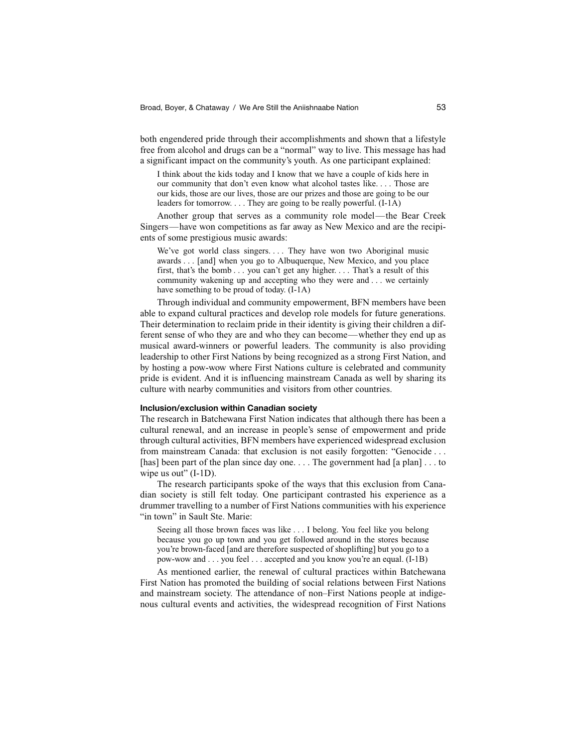both engendered pride through their accomplishments and shown that a lifestyle free from alcohol and drugs can be a "normal" way to live. This message has had a significant impact on the community's youth. As one participant explained:

I think about the kids today and I know that we have a couple of kids here in our community that don't even know what alcohol tastes like. . . . Those are our kids, those are our lives, those are our prizes and those are going to be our leaders for tomorrow. . . . They are going to be really powerful. (I-1A)

Another group that serves as a community role model—the Bear Creek Singers—have won competitions as far away as New Mexico and are the recipients of some prestigious music awards:

We've got world class singers.... They have won two Aboriginal music awards . . . [and] when you go to Albuquerque, New Mexico, and you place first, that's the bomb . . . you can't get any higher. . . . That's a result of this community wakening up and accepting who they were and . . . we certainly have something to be proud of today. (I-1A)

Through individual and community empowerment, BFN members have been able to expand cultural practices and develop role models for future generations. Their determination to reclaim pride in their identity is giving their children a different sense of who they are and who they can become—whether they end up as musical award-winners or powerful leaders. The community is also providing leadership to other First Nations by being recognized as a strong First Nation, and by hosting a pow-wow where First Nations culture is celebrated and community pride is evident. And it is influencing mainstream Canada as well by sharing its culture with nearby communities and visitors from other countries.

#### **Inclusion/exclusion within Canadian society**

The research in Batchewana First Nation indicates that although there has been a cultural renewal, and an increase in people's sense of empowerment and pride through cultural activities, BFN members have experienced widespread exclusion from mainstream Canada: that exclusion is not easily forgotten: "Genocide . . . [has] been part of the plan since day one. . . . The government had [a plan] . . . to wipe us out"  $(I-1D)$ .

The research participants spoke of the ways that this exclusion from Canadian society is still felt today. One participant contrasted his experience as a drummer travelling to a number of First Nations communities with his experience "in town" in Sault Ste. Marie:

Seeing all those brown faces was like . . . I belong. You feel like you belong because you go up town and you get followed around in the stores because you're brown-faced [and are therefore suspected of shoplifting] but you go to a pow-wow and . . . you feel . . . accepted and you know you're an equal. (I-1B)

As mentioned earlier, the renewal of cultural practices within Batchewana First Nation has promoted the building of social relations between First Nations and mainstream society. The attendance of non–First Nations people at indigenous cultural events and activities, the widespread recognition of First Nations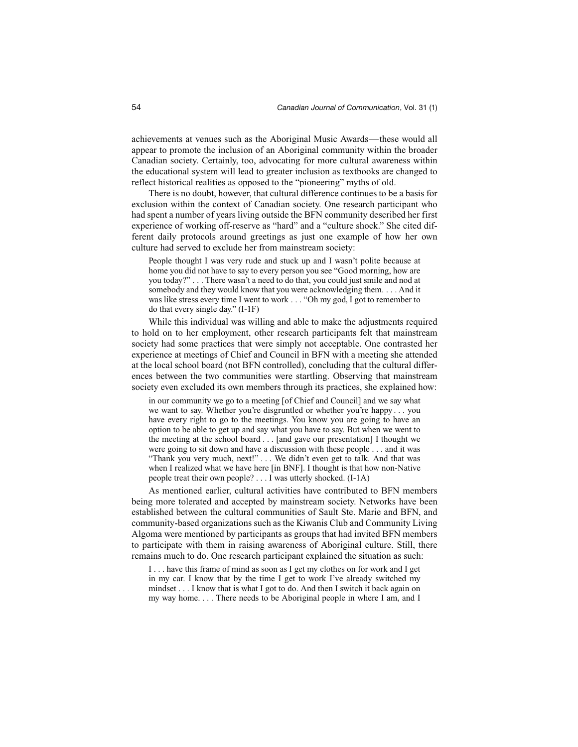achievements at venues such as the Aboriginal Music Awards—these would all appear to promote the inclusion of an Aboriginal community within the broader Canadian society. Certainly, too, advocating for more cultural awareness within the educational system will lead to greater inclusion as textbooks are changed to reflect historical realities as opposed to the "pioneering" myths of old.

There is no doubt, however, that cultural difference continues to be a basis for exclusion within the context of Canadian society. One research participant who had spent a number of years living outside the BFN community described her first experience of working off-reserve as "hard" and a "culture shock." She cited different daily protocols around greetings as just one example of how her own culture had served to exclude her from mainstream society:

People thought I was very rude and stuck up and I wasn't polite because at home you did not have to say to every person you see "Good morning, how are you today?" . . . There wasn't a need to do that, you could just smile and nod at somebody and they would know that you were acknowledging them. . . . And it was like stress every time I went to work . . . "Oh my god, I got to remember to do that every single day." (I-1F)

While this individual was willing and able to make the adjustments required to hold on to her employment, other research participants felt that mainstream society had some practices that were simply not acceptable. One contrasted her experience at meetings of Chief and Council in BFN with a meeting she attended at the local school board (not BFN controlled), concluding that the cultural differences between the two communities were startling. Observing that mainstream society even excluded its own members through its practices, she explained how:

in our community we go to a meeting [of Chief and Council] and we say what we want to say. Whether you're disgruntled or whether you're happy . . . you have every right to go to the meetings. You know you are going to have an option to be able to get up and say what you have to say. But when we went to the meeting at the school board . . . [and gave our presentation] I thought we were going to sit down and have a discussion with these people . . . and it was "Thank you very much, next!" . . . We didn't even get to talk. And that was when I realized what we have here [in BNF]. I thought is that how non-Native people treat their own people? . . . I was utterly shocked. (I-1A)

As mentioned earlier, cultural activities have contributed to BFN members being more tolerated and accepted by mainstream society. Networks have been established between the cultural communities of Sault Ste. Marie and BFN, and community-based organizations such as the Kiwanis Club and Community Living Algoma were mentioned by participants as groups that had invited BFN members to participate with them in raising awareness of Aboriginal culture. Still, there remains much to do. One research participant explained the situation as such:

I . . . have this frame of mind as soon as I get my clothes on for work and I get in my car. I know that by the time I get to work I've already switched my mindset . . . I know that is what I got to do. And then I switch it back again on my way home. . . . There needs to be Aboriginal people in where I am, and I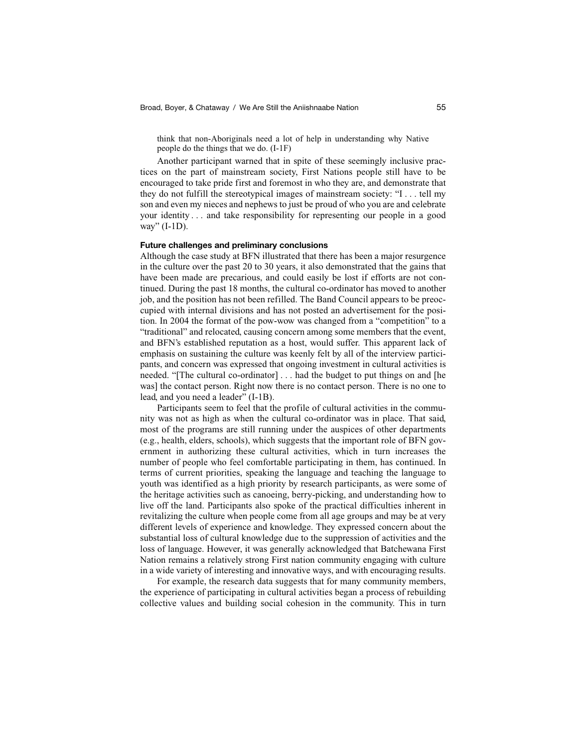think that non-Aboriginals need a lot of help in understanding why Native people do the things that we do. (I-1F)

Another participant warned that in spite of these seemingly inclusive practices on the part of mainstream society, First Nations people still have to be encouraged to take pride first and foremost in who they are, and demonstrate that they do not fulfill the stereotypical images of mainstream society: "I . . . tell my son and even my nieces and nephews to just be proud of who you are and celebrate your identity . . . and take responsibility for representing our people in a good way"  $(I-1D)$ .

#### **Future challenges and preliminary conclusions**

Although the case study at BFN illustrated that there has been a major resurgence in the culture over the past 20 to 30 years, it also demonstrated that the gains that have been made are precarious, and could easily be lost if efforts are not continued. During the past 18 months, the cultural co-ordinator has moved to another job, and the position has not been refilled. The Band Council appears to be preoccupied with internal divisions and has not posted an advertisement for the position. In 2004 the format of the pow-wow was changed from a "competition" to a "traditional" and relocated, causing concern among some members that the event, and BFN's established reputation as a host, would suffer. This apparent lack of emphasis on sustaining the culture was keenly felt by all of the interview participants, and concern was expressed that ongoing investment in cultural activities is needed. "[The cultural co-ordinator] . . . had the budget to put things on and [he was] the contact person. Right now there is no contact person. There is no one to lead, and you need a leader" (I-1B).

Participants seem to feel that the profile of cultural activities in the community was not as high as when the cultural co-ordinator was in place. That said, most of the programs are still running under the auspices of other departments (e.g., health, elders, schools), which suggests that the important role of BFN government in authorizing these cultural activities, which in turn increases the number of people who feel comfortable participating in them, has continued. In terms of current priorities, speaking the language and teaching the language to youth was identified as a high priority by research participants, as were some of the heritage activities such as canoeing, berry-picking, and understanding how to live off the land. Participants also spoke of the practical difficulties inherent in revitalizing the culture when people come from all age groups and may be at very different levels of experience and knowledge. They expressed concern about the substantial loss of cultural knowledge due to the suppression of activities and the loss of language. However, it was generally acknowledged that Batchewana First Nation remains a relatively strong First nation community engaging with culture in a wide variety of interesting and innovative ways, and with encouraging results.

For example, the research data suggests that for many community members, the experience of participating in cultural activities began a process of rebuilding collective values and building social cohesion in the community. This in turn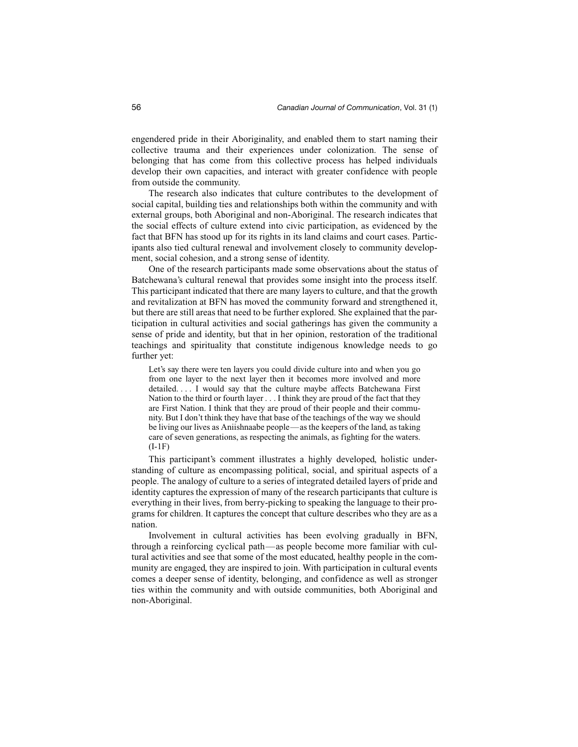engendered pride in their Aboriginality, and enabled them to start naming their collective trauma and their experiences under colonization. The sense of belonging that has come from this collective process has helped individuals develop their own capacities, and interact with greater confidence with people from outside the community.

The research also indicates that culture contributes to the development of social capital, building ties and relationships both within the community and with external groups, both Aboriginal and non-Aboriginal. The research indicates that the social effects of culture extend into civic participation, as evidenced by the fact that BFN has stood up for its rights in its land claims and court cases. Participants also tied cultural renewal and involvement closely to community development, social cohesion, and a strong sense of identity.

One of the research participants made some observations about the status of Batchewana's cultural renewal that provides some insight into the process itself. This participant indicated that there are many layers to culture, and that the growth and revitalization at BFN has moved the community forward and strengthened it, but there are still areas that need to be further explored. She explained that the participation in cultural activities and social gatherings has given the community a sense of pride and identity, but that in her opinion, restoration of the traditional teachings and spirituality that constitute indigenous knowledge needs to go further yet:

Let's say there were ten layers you could divide culture into and when you go from one layer to the next layer then it becomes more involved and more detailed. . . . I would say that the culture maybe affects Batchewana First Nation to the third or fourth layer . . . I think they are proud of the fact that they are First Nation. I think that they are proud of their people and their community. But I don't think they have that base of the teachings of the way we should be living our lives as Aniishnaabe people—as the keepers of the land, as taking care of seven generations, as respecting the animals, as fighting for the waters. (I-1F)

This participant's comment illustrates a highly developed, holistic understanding of culture as encompassing political, social, and spiritual aspects of a people. The analogy of culture to a series of integrated detailed layers of pride and identity captures the expression of many of the research participants that culture is everything in their lives, from berry-picking to speaking the language to their programs for children. It captures the concept that culture describes who they are as a nation.

Involvement in cultural activities has been evolving gradually in BFN, through a reinforcing cyclical path—as people become more familiar with cultural activities and see that some of the most educated, healthy people in the community are engaged, they are inspired to join. With participation in cultural events comes a deeper sense of identity, belonging, and confidence as well as stronger ties within the community and with outside communities, both Aboriginal and non-Aboriginal.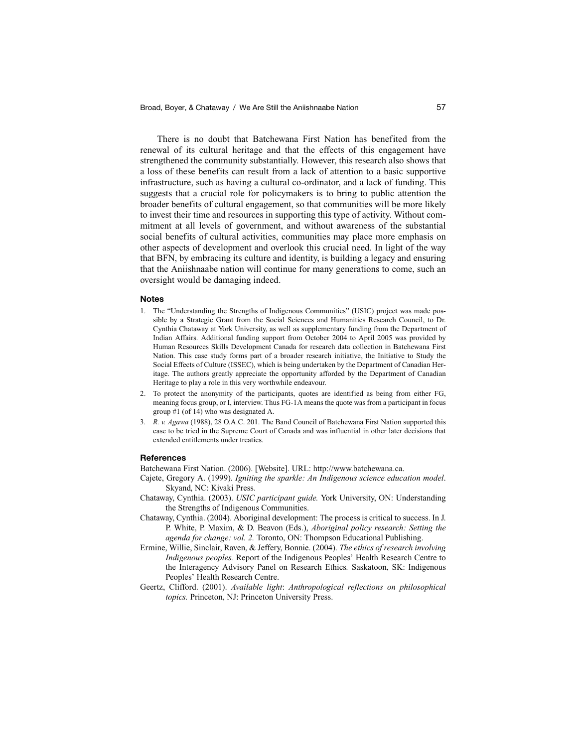There is no doubt that Batchewana First Nation has benefited from the renewal of its cultural heritage and that the effects of this engagement have strengthened the community substantially. However, this research also shows that a loss of these benefits can result from a lack of attention to a basic supportive infrastructure, such as having a cultural co-ordinator, and a lack of funding. This suggests that a crucial role for policymakers is to bring to public attention the broader benefits of cultural engagement, so that communities will be more likely to invest their time and resources in supporting this type of activity. Without commitment at all levels of government, and without awareness of the substantial social benefits of cultural activities, communities may place more emphasis on other aspects of development and overlook this crucial need. In light of the way that BFN, by embracing its culture and identity, is building a legacy and ensuring that the Aniishnaabe nation will continue for many generations to come, such an oversight would be damaging indeed.

#### **Notes**

- 1. The "Understanding the Strengths of Indigenous Communities" (USIC) project was made possible by a Strategic Grant from the Social Sciences and Humanities Research Council, to Dr. Cynthia Chataway at York University, as well as supplementary funding from the Department of Indian Affairs. Additional funding support from October 2004 to April 2005 was provided by Human Resources Skills Development Canada for research data collection in Batchewana First Nation. This case study forms part of a broader research initiative, the Initiative to Study the Social Effects of Culture (ISSEC), which is being undertaken by the Department of Canadian Heritage. The authors greatly appreciate the opportunity afforded by the Department of Canadian Heritage to play a role in this very worthwhile endeavour.
- 2. To protect the anonymity of the participants, quotes are identified as being from either FG, meaning focus group, or I, interview. Thus FG-1A means the quote was from a participant in focus group #1 (of 14) who was designated A.
- 3. *R. v. Agawa* (1988), 28 O.A.C. 201. The Band Council of Batchewana First Nation supported this case to be tried in the Supreme Court of Canada and was influential in other later decisions that extended entitlements under treaties.

#### **References**

Batchewana First Nation. (2006). [Website]. URL: http://www.batchewana.ca.

- Cajete, Gregory A. (1999). *Igniting the sparkle: An Indigenous science education model*. Skyand, NC: Kivaki Press.
- Chataway, Cynthia. (2003). *USIC participant guide.* York University, ON: Understanding the Strengths of Indigenous Communities.
- Chataway, Cynthia. (2004). Aboriginal development: The process is critical to success. In J. P. White, P. Maxim, & D. Beavon (Eds.), *Aboriginal policy research: Setting the agenda for change: vol. 2.* Toronto, ON: Thompson Educational Publishing.
- Ermine, Willie, Sinclair, Raven, & Jeffery, Bonnie. (2004). *The ethics of research involving Indigenous peoples.* Report of the Indigenous Peoples' Health Research Centre to the Interagency Advisory Panel on Research Ethics*.* Saskatoon, SK: Indigenous Peoples' Health Research Centre.
- Geertz, Clifford. (2001). *Available light*: *Anthropological reflections on philosophical topics.* Princeton, NJ: Princeton University Press.